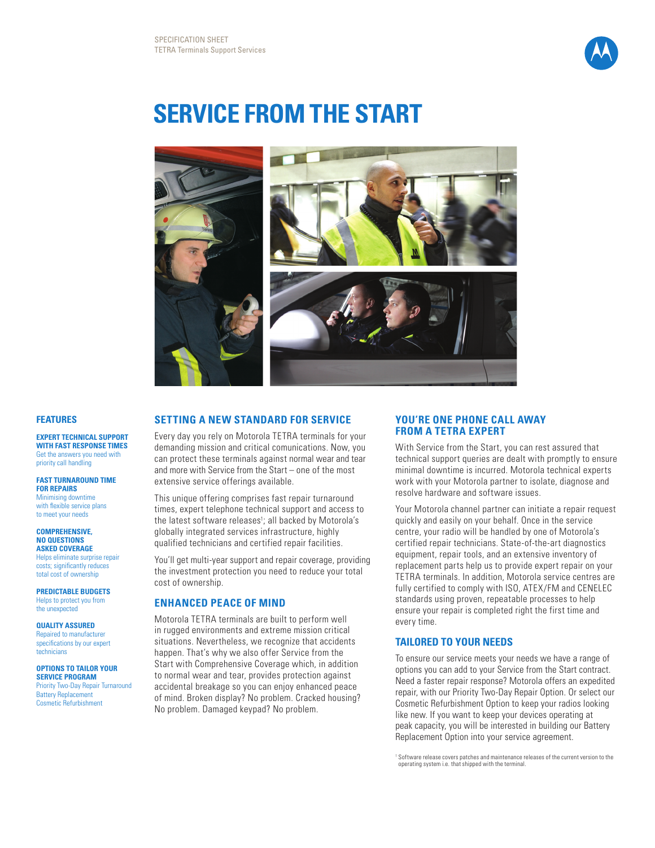

# **Service from the Start**



#### **Features**

**EXPERT TECHNICAL SUPPORT WITH FAST RESPONSE TIMES** Get the answers you need with priority call handling

#### **Fast turnaround time for repairs**

Minimising downtime with flexible service plans to meet your needs

#### **COMPREHENSIVE, NO QUESTIONS ASKED COVERAGE**

Helps eliminate surprise repair costs; significantly reduces total cost of ownership

**PREDICTABLE BUDGETS** Helps to protect you from the unexpected

#### **QUALITY ASSURED**

Repaired to manufacturer specifications by our expert technicians

#### **OPTIONS TO TAILOR YOUR**

**SERVICE PROGRAM** Priority Two-Day Repair Turnaround Battery Replacement Cosmetic Refurbishment

## **SETTING A NEW STANDARD FOR SERVICE**

Every day you rely on Motorola TETRA terminals for your demanding mission and critical comunications. Now, you can protect these terminals against normal wear and tear and more with Service from the Start – one of the most extensive service offerings available.

This unique offering comprises fast repair turnaround times, expert telephone technical support and access to the latest software releases<sup>1</sup>; all backed by Motorola's globally integrated services infrastructure, highly qualified technicians and certified repair facilities.

You'll get multi-year support and repair coverage, providing the investment protection you need to reduce your total cost of ownership.

#### **Enhanced PEACE OF MIND**

Motorola TETRA terminals are built to perform well in rugged environments and extreme mission critical situations. Nevertheless, we recognize that accidents happen. That's why we also offer Service from the Start with Comprehensive Coverage which, in addition to normal wear and tear, provides protection against accidental breakage so you can enjoy enhanced peace of mind. Broken display? No problem. Cracked housing? No problem. Damaged keypad? No problem.

#### **YOU'RE ONE PHONE CALL AWAY FROM A TETRA EXPERT**

With Service from the Start, you can rest assured that technical support queries are dealt with promptly to ensure minimal downtime is incurred. Motorola technical experts work with your Motorola partner to isolate, diagnose and resolve hardware and software issues.

Your Motorola channel partner can initiate a repair request quickly and easily on your behalf. Once in the service centre, your radio will be handled by one of Motorola's certified repair technicians. State-of-the-art diagnostics equipment, repair tools, and an extensive inventory of replacement parts help us to provide expert repair on your TETRA terminals. In addition, Motorola service centres are fully certified to comply with ISO, ATEX/FM and CENELEC standards using proven, repeatable processes to help ensure your repair is completed right the first time and every time.

### **TAILORED TO YOUR NEEDS**

To ensure our service meets your needs we have a range of options you can add to your Service from the Start contract. Need a faster repair response? Motorola offers an expedited repair, with our Priority Two-Day Repair Option. Or select our Cosmetic Refurbishment Option to keep your radios looking like new. If you want to keep your devices operating at peak capacity, you will be interested in building our Battery Replacement Option into your service agreement.

<sup>1</sup> Software release covers patches and maintenance releases of the current version to the operating system i.e. that shipped with the terminal.